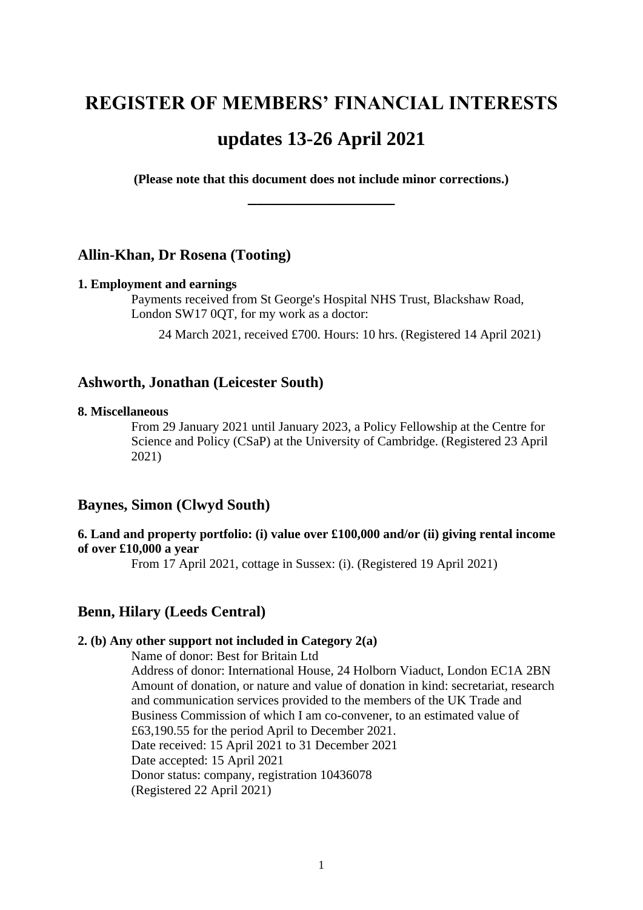# **REGISTER OF MEMBERS' FINANCIAL INTERESTS updates 13-26 April 2021**

**(Please note that this document does not include minor corrections.) \_\_\_\_\_\_\_\_\_\_\_\_\_\_\_\_\_**

# **Allin-Khan, Dr Rosena (Tooting)**

#### **1. Employment and earnings**

Payments received from St George's Hospital NHS Trust, Blackshaw Road, London SW17 0QT, for my work as a doctor:

24 March 2021, received £700. Hours: 10 hrs. (Registered 14 April 2021)

## **Ashworth, Jonathan (Leicester South)**

#### **8. Miscellaneous**

From 29 January 2021 until January 2023, a Policy Fellowship at the Centre for Science and Policy (CSaP) at the University of Cambridge. (Registered 23 April 2021)

# **Baynes, Simon (Clwyd South)**

## **6. Land and property portfolio: (i) value over £100,000 and/or (ii) giving rental income of over £10,000 a year**

From 17 April 2021, cottage in Sussex: (i). (Registered 19 April 2021)

# **Benn, Hilary (Leeds Central)**

#### **2. (b) Any other support not included in Category 2(a)**

Name of donor: Best for Britain Ltd Address of donor: International House, 24 Holborn Viaduct, London EC1A 2BN Amount of donation, or nature and value of donation in kind: secretariat, research and communication services provided to the members of the UK Trade and Business Commission of which I am co-convener, to an estimated value of £63,190.55 for the period April to December 2021. Date received: 15 April 2021 to 31 December 2021 Date accepted: 15 April 2021 Donor status: company, registration 10436078 (Registered 22 April 2021)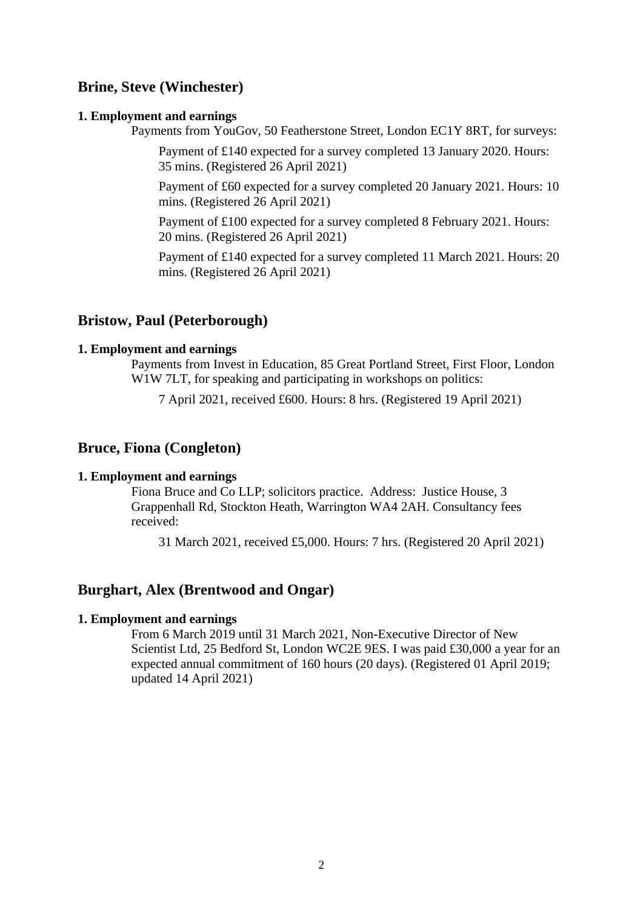# **Brine, Steve (Winchester)**

#### **1. Employment and earnings**

Payments from YouGov, 50 Featherstone Street, London EC1Y 8RT, for surveys:

Payment of £140 expected for a survey completed 13 January 2020. Hours: 35 mins. (Registered 26 April 2021)

Payment of £60 expected for a survey completed 20 January 2021. Hours: 10 mins. (Registered 26 April 2021)

Payment of £100 expected for a survey completed 8 February 2021. Hours: 20 mins. (Registered 26 April 2021)

Payment of £140 expected for a survey completed 11 March 2021. Hours: 20 mins. (Registered 26 April 2021)

## **Bristow, Paul (Peterborough)**

#### **1. Employment and earnings**

Payments from Invest in Education, 85 Great Portland Street, First Floor, London W<sub>1</sub>W 7LT, for speaking and participating in workshops on politics:

7 April 2021, received £600. Hours: 8 hrs. (Registered 19 April 2021)

## **Bruce, Fiona (Congleton)**

#### **1. Employment and earnings**

Fiona Bruce and Co LLP; solicitors practice. Address: Justice House, 3 Grappenhall Rd, Stockton Heath, Warrington WA4 2AH. Consultancy fees received:

31 March 2021, received £5,000. Hours: 7 hrs. (Registered 20 April 2021)

# **Burghart, Alex (Brentwood and Ongar)**

#### **1. Employment and earnings**

From 6 March 2019 until 31 March 2021, Non-Executive Director of New Scientist Ltd, 25 Bedford St, London WC2E 9ES. I was paid £30,000 a year for an expected annual commitment of 160 hours (20 days). (Registered 01 April 2019; updated 14 April 2021)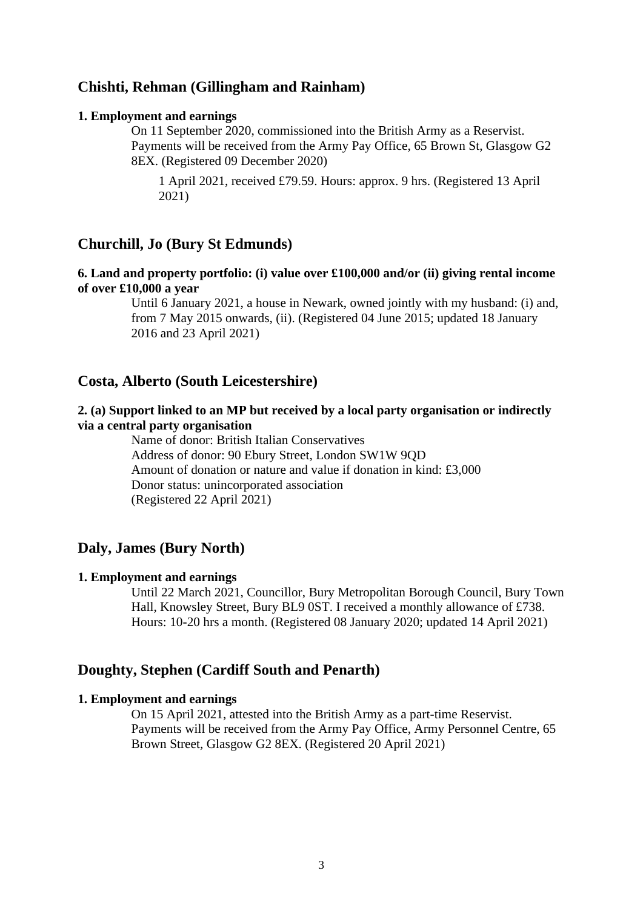# **Chishti, Rehman (Gillingham and Rainham)**

#### **1. Employment and earnings**

On 11 September 2020, commissioned into the British Army as a Reservist. Payments will be received from the Army Pay Office, 65 Brown St, Glasgow G2 8EX. (Registered 09 December 2020)

1 April 2021, received £79.59. Hours: approx. 9 hrs. (Registered 13 April 2021)

# **Churchill, Jo (Bury St Edmunds)**

## **6. Land and property portfolio: (i) value over £100,000 and/or (ii) giving rental income of over £10,000 a year**

Until 6 January 2021, a house in Newark, owned jointly with my husband: (i) and, from 7 May 2015 onwards, (ii). (Registered 04 June 2015; updated 18 January 2016 and 23 April 2021)

## **Costa, Alberto (South Leicestershire)**

## **2. (a) Support linked to an MP but received by a local party organisation or indirectly via a central party organisation**

Name of donor: British Italian Conservatives Address of donor: 90 Ebury Street, London SW1W 9QD Amount of donation or nature and value if donation in kind: £3,000 Donor status: unincorporated association (Registered 22 April 2021)

# **Daly, James (Bury North)**

#### **1. Employment and earnings**

Until 22 March 2021, Councillor, Bury Metropolitan Borough Council, Bury Town Hall, Knowsley Street, Bury BL9 0ST. I received a monthly allowance of £738. Hours: 10-20 hrs a month. (Registered 08 January 2020; updated 14 April 2021)

# **Doughty, Stephen (Cardiff South and Penarth)**

#### **1. Employment and earnings**

On 15 April 2021, attested into the British Army as a part-time Reservist. Payments will be received from the Army Pay Office, Army Personnel Centre, 65 Brown Street, Glasgow G2 8EX. (Registered 20 April 2021)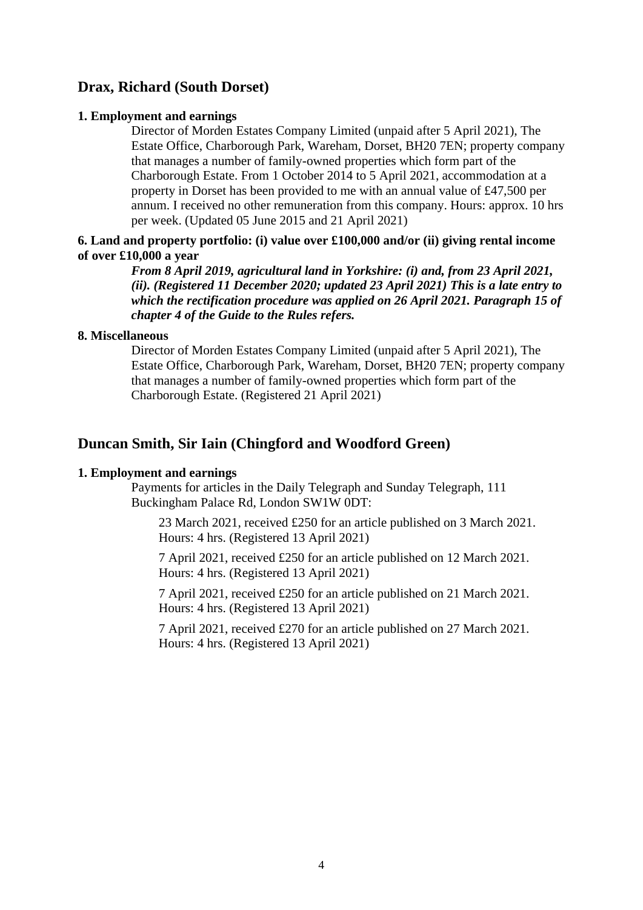# **Drax, Richard (South Dorset)**

#### **1. Employment and earnings**

Director of Morden Estates Company Limited (unpaid after 5 April 2021), The Estate Office, Charborough Park, Wareham, Dorset, BH20 7EN; property company that manages a number of family-owned properties which form part of the Charborough Estate. From 1 October 2014 to 5 April 2021, accommodation at a property in Dorset has been provided to me with an annual value of £47,500 per annum. I received no other remuneration from this company. Hours: approx. 10 hrs per week. (Updated 05 June 2015 and 21 April 2021)

## **6. Land and property portfolio: (i) value over £100,000 and/or (ii) giving rental income of over £10,000 a year**

*From 8 April 2019, agricultural land in Yorkshire: (i) and, from 23 April 2021, (ii). (Registered 11 December 2020; updated 23 April 2021) This is a late entry to which the rectification procedure was applied on 26 April 2021. Paragraph 15 of chapter 4 of the Guide to the Rules refers.*

#### **8. Miscellaneous**

Director of Morden Estates Company Limited (unpaid after 5 April 2021), The Estate Office, Charborough Park, Wareham, Dorset, BH20 7EN; property company that manages a number of family-owned properties which form part of the Charborough Estate. (Registered 21 April 2021)

# **Duncan Smith, Sir Iain (Chingford and Woodford Green)**

#### **1. Employment and earnings**

Payments for articles in the Daily Telegraph and Sunday Telegraph, 111 Buckingham Palace Rd, London SW1W 0DT:

23 March 2021, received £250 for an article published on 3 March 2021. Hours: 4 hrs. (Registered 13 April 2021)

7 April 2021, received £250 for an article published on 12 March 2021. Hours: 4 hrs. (Registered 13 April 2021)

7 April 2021, received £250 for an article published on 21 March 2021. Hours: 4 hrs. (Registered 13 April 2021)

7 April 2021, received £270 for an article published on 27 March 2021. Hours: 4 hrs. (Registered 13 April 2021)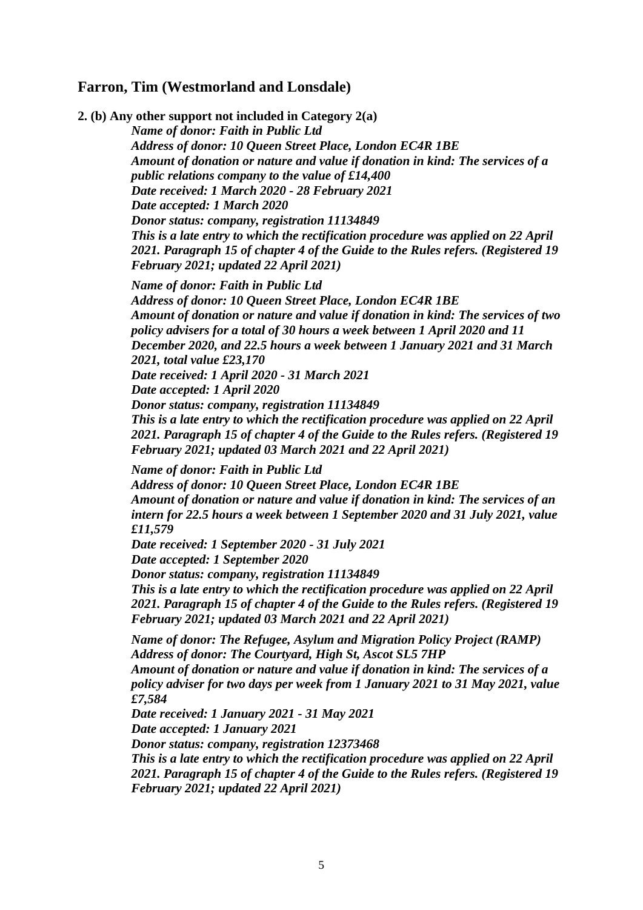# **Farron, Tim (Westmorland and Lonsdale)**

**2. (b) Any other support not included in Category 2(a)** *Name of donor: Faith in Public Ltd Address of donor: 10 Queen Street Place, London EC4R 1BE Amount of donation or nature and value if donation in kind: The services of a public relations company to the value of £14,400 Date received: 1 March 2020 - 28 February 2021 Date accepted: 1 March 2020 Donor status: company, registration 11134849 This is a late entry to which the rectification procedure was applied on 22 April 2021. Paragraph 15 of chapter 4 of the Guide to the Rules refers. (Registered 19 February 2021; updated 22 April 2021) Name of donor: Faith in Public Ltd Address of donor: 10 Queen Street Place, London EC4R 1BE Amount of donation or nature and value if donation in kind: The services of two policy advisers for a total of 30 hours a week between 1 April 2020 and 11 December 2020, and 22.5 hours a week between 1 January 2021 and 31 March 2021, total value £23,170 Date received: 1 April 2020 - 31 March 2021 Date accepted: 1 April 2020 Donor status: company, registration 11134849 This is a late entry to which the rectification procedure was applied on 22 April 2021. Paragraph 15 of chapter 4 of the Guide to the Rules refers. (Registered 19 February 2021; updated 03 March 2021 and 22 April 2021) Name of donor: Faith in Public Ltd Address of donor: 10 Queen Street Place, London EC4R 1BE Amount of donation or nature and value if donation in kind: The services of an intern for 22.5 hours a week between 1 September 2020 and 31 July 2021, value £11,579 Date received: 1 September 2020 - 31 July 2021 Date accepted: 1 September 2020 Donor status: company, registration 11134849 This is a late entry to which the rectification procedure was applied on 22 April 2021. Paragraph 15 of chapter 4 of the Guide to the Rules refers. (Registered 19 February 2021; updated 03 March 2021 and 22 April 2021) Name of donor: The Refugee, Asylum and Migration Policy Project (RAMP) Address of donor: The Courtyard, High St, Ascot SL5 7HP Amount of donation or nature and value if donation in kind: The services of a policy adviser for two days per week from 1 January 2021 to 31 May 2021, value £7,584 Date received: 1 January 2021 - 31 May 2021 Date accepted: 1 January 2021 Donor status: company, registration 12373468*

*This is a late entry to which the rectification procedure was applied on 22 April 2021. Paragraph 15 of chapter 4 of the Guide to the Rules refers. (Registered 19 February 2021; updated 22 April 2021)*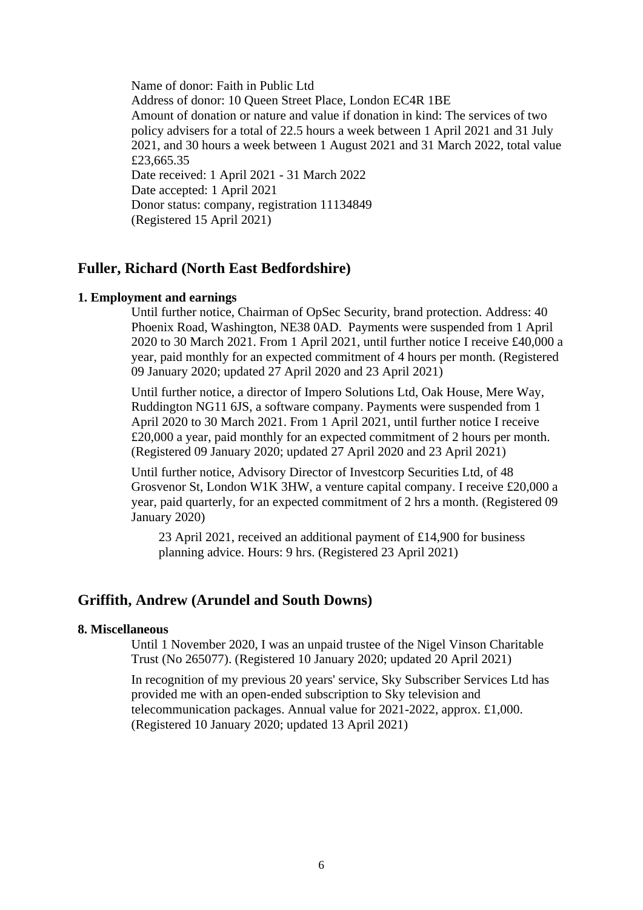Name of donor: Faith in Public Ltd Address of donor: 10 Queen Street Place, London EC4R 1BE Amount of donation or nature and value if donation in kind: The services of two policy advisers for a total of 22.5 hours a week between 1 April 2021 and 31 July 2021, and 30 hours a week between 1 August 2021 and 31 March 2022, total value £23,665.35 Date received: 1 April 2021 - 31 March 2022 Date accepted: 1 April 2021 Donor status: company, registration 11134849 (Registered 15 April 2021)

# **Fuller, Richard (North East Bedfordshire)**

#### **1. Employment and earnings**

Until further notice, Chairman of OpSec Security, brand protection. Address: 40 Phoenix Road, Washington, NE38 0AD. Payments were suspended from 1 April 2020 to 30 March 2021. From 1 April 2021, until further notice I receive £40,000 a year, paid monthly for an expected commitment of 4 hours per month. (Registered 09 January 2020; updated 27 April 2020 and 23 April 2021)

Until further notice, a director of Impero Solutions Ltd, Oak House, Mere Way, Ruddington NG11 6JS, a software company. Payments were suspended from 1 April 2020 to 30 March 2021. From 1 April 2021, until further notice I receive £20,000 a year, paid monthly for an expected commitment of 2 hours per month. (Registered 09 January 2020; updated 27 April 2020 and 23 April 2021)

Until further notice, Advisory Director of Investcorp Securities Ltd, of 48 Grosvenor St, London W1K 3HW, a venture capital company. I receive £20,000 a year, paid quarterly, for an expected commitment of 2 hrs a month. (Registered 09 January 2020)

23 April 2021, received an additional payment of £14,900 for business planning advice. Hours: 9 hrs. (Registered 23 April 2021)

# **Griffith, Andrew (Arundel and South Downs)**

#### **8. Miscellaneous**

Until 1 November 2020, I was an unpaid trustee of the Nigel Vinson Charitable Trust (No 265077). (Registered 10 January 2020; updated 20 April 2021)

In recognition of my previous 20 years' service, Sky Subscriber Services Ltd has provided me with an open-ended subscription to Sky television and telecommunication packages. Annual value for 2021-2022, approx. £1,000. (Registered 10 January 2020; updated 13 April 2021)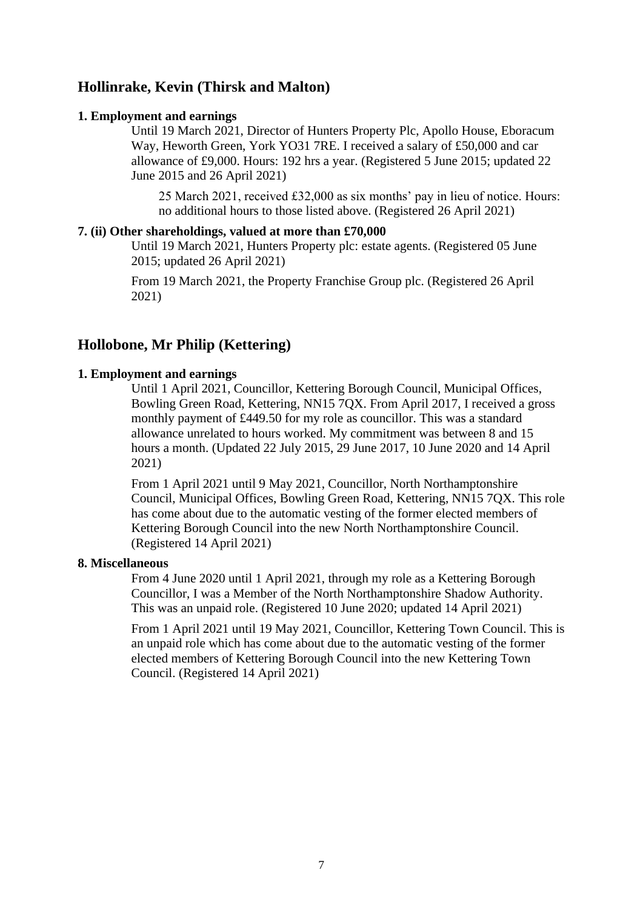# **Hollinrake, Kevin (Thirsk and Malton)**

## **1. Employment and earnings**

Until 19 March 2021, Director of Hunters Property Plc, Apollo House, Eboracum Way, Heworth Green, York YO31 7RE. I received a salary of £50,000 and car allowance of £9,000. Hours: 192 hrs a year. (Registered 5 June 2015; updated 22 June 2015 and 26 April 2021)

25 March 2021, received £32,000 as six months' pay in lieu of notice. Hours: no additional hours to those listed above. (Registered 26 April 2021)

## **7. (ii) Other shareholdings, valued at more than £70,000**

Until 19 March 2021, Hunters Property plc: estate agents. (Registered 05 June 2015; updated 26 April 2021)

From 19 March 2021, the Property Franchise Group plc. (Registered 26 April 2021)

# **Hollobone, Mr Philip (Kettering)**

# **1. Employment and earnings**

Until 1 April 2021, Councillor, Kettering Borough Council, Municipal Offices, Bowling Green Road, Kettering, NN15 7QX. From April 2017, I received a gross monthly payment of £449.50 for my role as councillor. This was a standard allowance unrelated to hours worked. My commitment was between 8 and 15 hours a month. (Updated 22 July 2015, 29 June 2017, 10 June 2020 and 14 April 2021)

From 1 April 2021 until 9 May 2021, Councillor, North Northamptonshire Council, Municipal Offices, Bowling Green Road, Kettering, NN15 7QX. This role has come about due to the automatic vesting of the former elected members of Kettering Borough Council into the new North Northamptonshire Council. (Registered 14 April 2021)

## **8. Miscellaneous**

From 4 June 2020 until 1 April 2021, through my role as a Kettering Borough Councillor, I was a Member of the North Northamptonshire Shadow Authority. This was an unpaid role. (Registered 10 June 2020; updated 14 April 2021)

From 1 April 2021 until 19 May 2021, Councillor, Kettering Town Council. This is an unpaid role which has come about due to the automatic vesting of the former elected members of Kettering Borough Council into the new Kettering Town Council. (Registered 14 April 2021)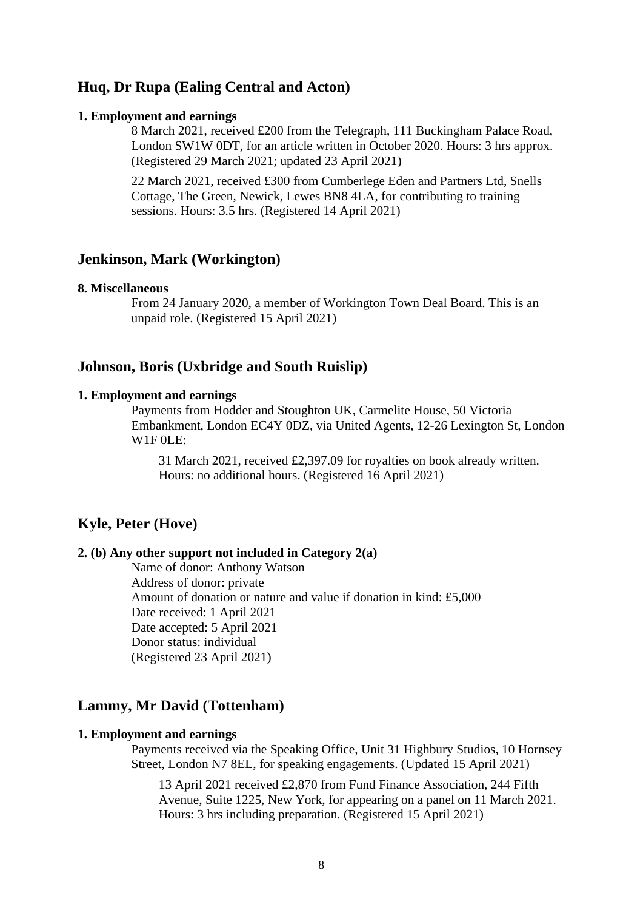# **Huq, Dr Rupa (Ealing Central and Acton)**

#### **1. Employment and earnings**

8 March 2021, received £200 from the Telegraph, 111 Buckingham Palace Road, London SW1W 0DT, for an article written in October 2020. Hours: 3 hrs approx. (Registered 29 March 2021; updated 23 April 2021)

22 March 2021, received £300 from Cumberlege Eden and Partners Ltd, Snells Cottage, The Green, Newick, Lewes BN8 4LA, for contributing to training sessions. Hours: 3.5 hrs. (Registered 14 April 2021)

# **Jenkinson, Mark (Workington)**

#### **8. Miscellaneous**

From 24 January 2020, a member of Workington Town Deal Board. This is an unpaid role. (Registered 15 April 2021)

## **Johnson, Boris (Uxbridge and South Ruislip)**

#### **1. Employment and earnings**

Payments from Hodder and Stoughton UK, Carmelite House, 50 Victoria Embankment, London EC4Y 0DZ, via United Agents, 12-26 Lexington St, London W1F 0LE:

31 March 2021, received £2,397.09 for royalties on book already written. Hours: no additional hours. (Registered 16 April 2021)

## **Kyle, Peter (Hove)**

## **2. (b) Any other support not included in Category 2(a)**

Name of donor: Anthony Watson Address of donor: private Amount of donation or nature and value if donation in kind: £5,000 Date received: 1 April 2021 Date accepted: 5 April 2021 Donor status: individual (Registered 23 April 2021)

# **Lammy, Mr David (Tottenham)**

#### **1. Employment and earnings**

Payments received via the Speaking Office, Unit 31 Highbury Studios, 10 Hornsey Street, London N7 8EL, for speaking engagements. (Updated 15 April 2021)

13 April 2021 received £2,870 from Fund Finance Association, 244 Fifth Avenue, Suite 1225, New York, for appearing on a panel on 11 March 2021. Hours: 3 hrs including preparation. (Registered 15 April 2021)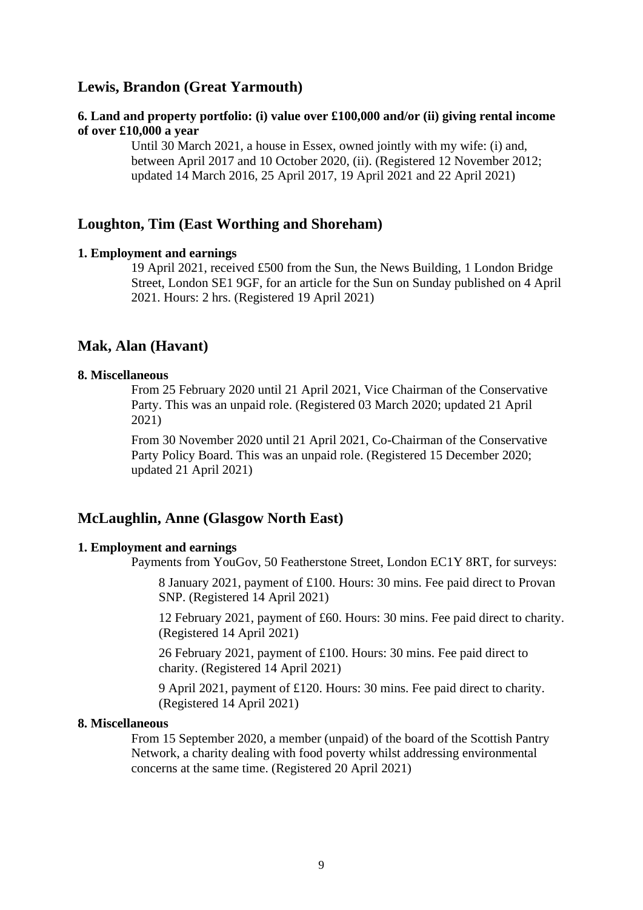# **Lewis, Brandon (Great Yarmouth)**

# **6. Land and property portfolio: (i) value over £100,000 and/or (ii) giving rental income of over £10,000 a year**

Until 30 March 2021, a house in Essex, owned jointly with my wife: (i) and, between April 2017 and 10 October 2020, (ii). (Registered 12 November 2012; updated 14 March 2016, 25 April 2017, 19 April 2021 and 22 April 2021)

## **Loughton, Tim (East Worthing and Shoreham)**

#### **1. Employment and earnings**

19 April 2021, received £500 from the Sun, the News Building, 1 London Bridge Street, London SE1 9GF, for an article for the Sun on Sunday published on 4 April 2021. Hours: 2 hrs. (Registered 19 April 2021)

## **Mak, Alan (Havant)**

## **8. Miscellaneous**

From 25 February 2020 until 21 April 2021, Vice Chairman of the Conservative Party. This was an unpaid role. (Registered 03 March 2020; updated 21 April 2021)

From 30 November 2020 until 21 April 2021, Co-Chairman of the Conservative Party Policy Board. This was an unpaid role. (Registered 15 December 2020; updated 21 April 2021)

# **McLaughlin, Anne (Glasgow North East)**

#### **1. Employment and earnings**

Payments from YouGov, 50 Featherstone Street, London EC1Y 8RT, for surveys:

8 January 2021, payment of £100. Hours: 30 mins. Fee paid direct to Provan SNP. (Registered 14 April 2021)

12 February 2021, payment of £60. Hours: 30 mins. Fee paid direct to charity. (Registered 14 April 2021)

26 February 2021, payment of £100. Hours: 30 mins. Fee paid direct to charity. (Registered 14 April 2021)

9 April 2021, payment of £120. Hours: 30 mins. Fee paid direct to charity. (Registered 14 April 2021)

#### **8. Miscellaneous**

From 15 September 2020, a member (unpaid) of the board of the Scottish Pantry Network, a charity dealing with food poverty whilst addressing environmental concerns at the same time. (Registered 20 April 2021)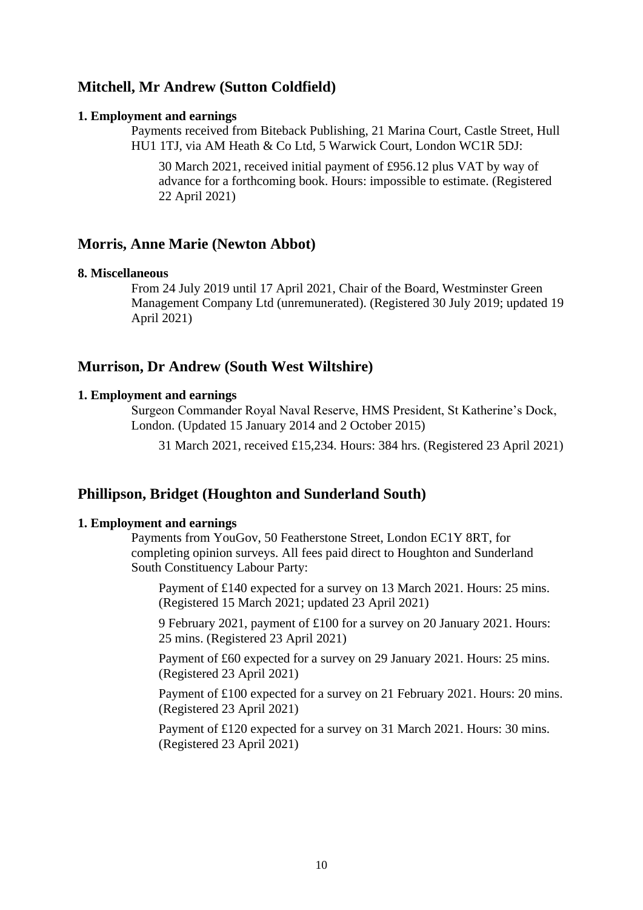# **Mitchell, Mr Andrew (Sutton Coldfield)**

#### **1. Employment and earnings**

Payments received from Biteback Publishing, 21 Marina Court, Castle Street, Hull HU1 1TJ, via AM Heath & Co Ltd, 5 Warwick Court, London WC1R 5DJ:

30 March 2021, received initial payment of £956.12 plus VAT by way of advance for a forthcoming book. Hours: impossible to estimate. (Registered 22 April 2021)

# **Morris, Anne Marie (Newton Abbot)**

#### **8. Miscellaneous**

From 24 July 2019 until 17 April 2021, Chair of the Board, Westminster Green Management Company Ltd (unremunerated). (Registered 30 July 2019; updated 19 April 2021)

# **Murrison, Dr Andrew (South West Wiltshire)**

## **1. Employment and earnings**

Surgeon Commander Royal Naval Reserve, HMS President, St Katherine's Dock, London. (Updated 15 January 2014 and 2 October 2015)

31 March 2021, received £15,234. Hours: 384 hrs. (Registered 23 April 2021)

# **Phillipson, Bridget (Houghton and Sunderland South)**

#### **1. Employment and earnings**

Payments from YouGov, 50 Featherstone Street, London EC1Y 8RT, for completing opinion surveys. All fees paid direct to Houghton and Sunderland South Constituency Labour Party:

Payment of £140 expected for a survey on 13 March 2021. Hours: 25 mins. (Registered 15 March 2021; updated 23 April 2021)

9 February 2021, payment of £100 for a survey on 20 January 2021. Hours: 25 mins. (Registered 23 April 2021)

Payment of £60 expected for a survey on 29 January 2021. Hours: 25 mins. (Registered 23 April 2021)

Payment of £100 expected for a survey on 21 February 2021. Hours: 20 mins. (Registered 23 April 2021)

Payment of £120 expected for a survey on 31 March 2021. Hours: 30 mins. (Registered 23 April 2021)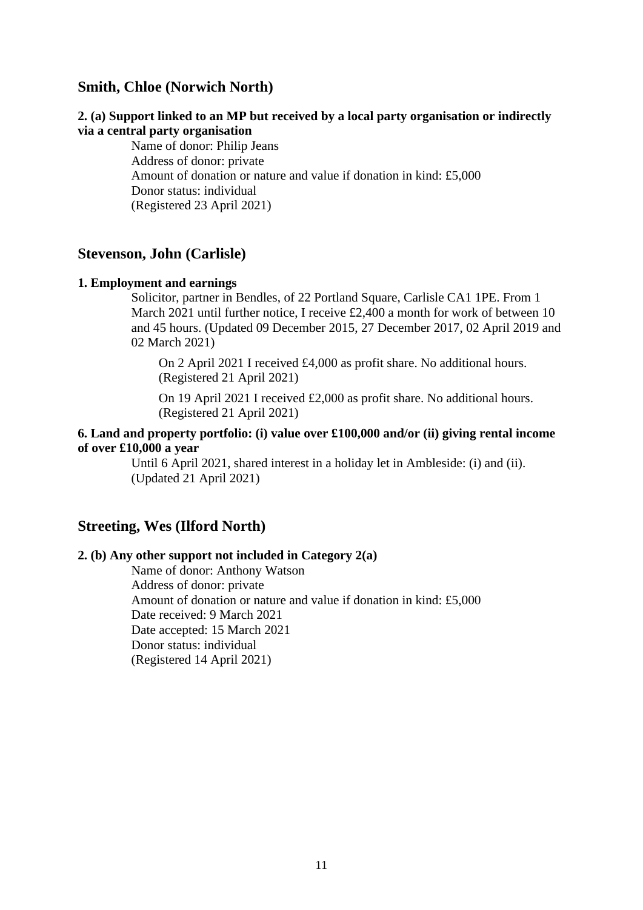# **Smith, Chloe (Norwich North)**

## **2. (a) Support linked to an MP but received by a local party organisation or indirectly via a central party organisation**

Name of donor: Philip Jeans Address of donor: private Amount of donation or nature and value if donation in kind: £5,000 Donor status: individual (Registered 23 April 2021)

## **Stevenson, John (Carlisle)**

#### **1. Employment and earnings**

Solicitor, partner in Bendles, of 22 Portland Square, Carlisle CA1 1PE. From 1 March 2021 until further notice, I receive £2,400 a month for work of between 10 and 45 hours. (Updated 09 December 2015, 27 December 2017, 02 April 2019 and 02 March 2021)

On 2 April 2021 I received £4,000 as profit share. No additional hours. (Registered 21 April 2021)

On 19 April 2021 I received £2,000 as profit share. No additional hours. (Registered 21 April 2021)

## **6. Land and property portfolio: (i) value over £100,000 and/or (ii) giving rental income of over £10,000 a year**

Until 6 April 2021, shared interest in a holiday let in Ambleside: (i) and (ii). (Updated 21 April 2021)

## **Streeting, Wes (Ilford North)**

## **2. (b) Any other support not included in Category 2(a)**

Name of donor: Anthony Watson Address of donor: private Amount of donation or nature and value if donation in kind: £5,000 Date received: 9 March 2021 Date accepted: 15 March 2021 Donor status: individual (Registered 14 April 2021)